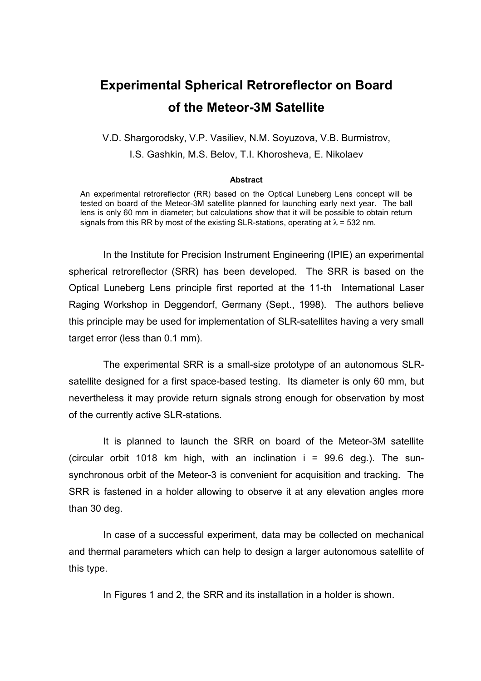## **Experimental Spherical Retroreflector on Board of the Meteor-3M Satellite**

V.D. Shargorodsky, V.P. Vasiliev, N.M. Soyuzova, V.B. Burmistrov, I.S. Gashkin, M.S. Belov, T.I. Khorosheva, E. Nikolaev

## **Abstract**

An experimental retroreflector (RR) based on the Optical Luneberg Lens concept will be tested on board of the Meteor-3M satellite planned for launching early next year. The ball lens is only 60 mm in diameter; but calculations show that it will be possible to obtain return signals from this RR by most of the existing SLR-stations, operating at  $\lambda$  = 532 nm.

In the Institute for Precision Instrument Engineering (IPIE) an experimental spherical retroreflector (SRR) has been developed. The SRR is based on the Optical Luneberg Lens principle first reported at the 11-th International Laser Raging Workshop in Deggendorf, Germany (Sept., 1998). The authors believe this principle may be used for implementation of SLR-satellites having a very small target error (less than 0.1 mm).

The experimental SRR is a small-size prototype of an autonomous SLRsatellite designed for a first space-based testing. Its diameter is only 60 mm, but nevertheless it may provide return signals strong enough for observation by most of the currently active SLR-stations.

It is planned to launch the SRR on board of the Meteor-3M satellite (circular orbit 1018 km high, with an inclination  $i = 99.6$  deg.). The sunsynchronous orbit of the Meteor-3 is convenient for acquisition and tracking. The SRR is fastened in a holder allowing to observe it at any elevation angles more than 30 deg.

In case of a successful experiment, data may be collected on mechanical and thermal parameters which can help to design a larger autonomous satellite of this type.

In Figures 1 and 2, the SRR and its installation in a holder is shown.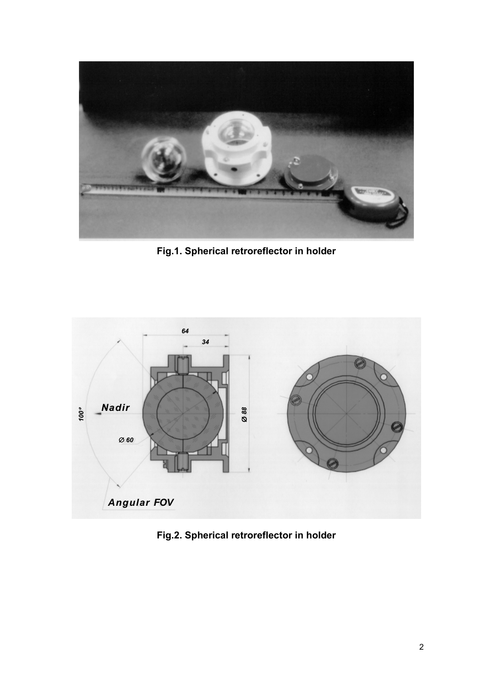

**Fig.1. Spherical retroreflector in holder** 



**Fig.2. Spherical retroreflector in holder**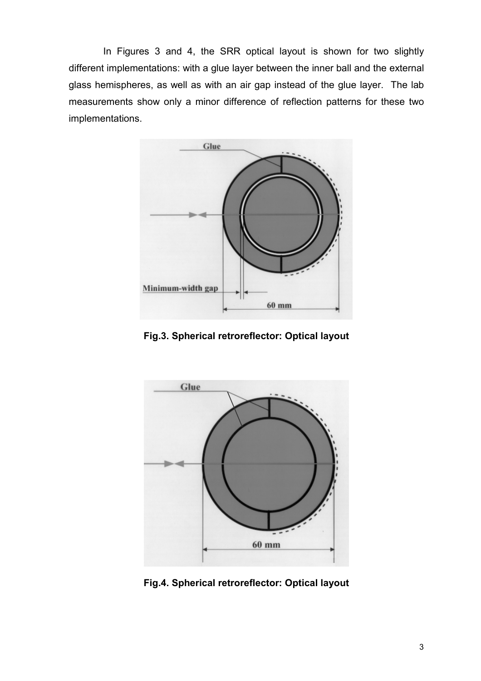In Figures 3 and 4, the SRR optical layout is shown for two slightly different implementations: with a glue layer between the inner ball and the external glass hemispheres, as well as with an air gap instead of the glue layer. The lab measurements show only a minor difference of reflection patterns for these two implementations.



**Fig.3. Spherical retroreflector: Optical layout** 



**Fig.4. Spherical retroreflector: Optical layout**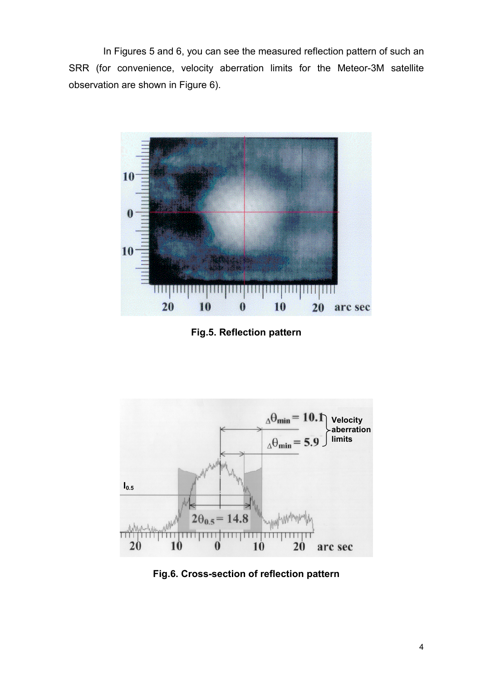In Figures 5 and 6, you can see the measured reflection pattern of such an SRR (for convenience, velocity aberration limits for the Meteor-3M satellite observation are shown in Figure 6).



**Fig.5. Reflection pattern** 



**Fig.6. Cross-section of reflection pattern**